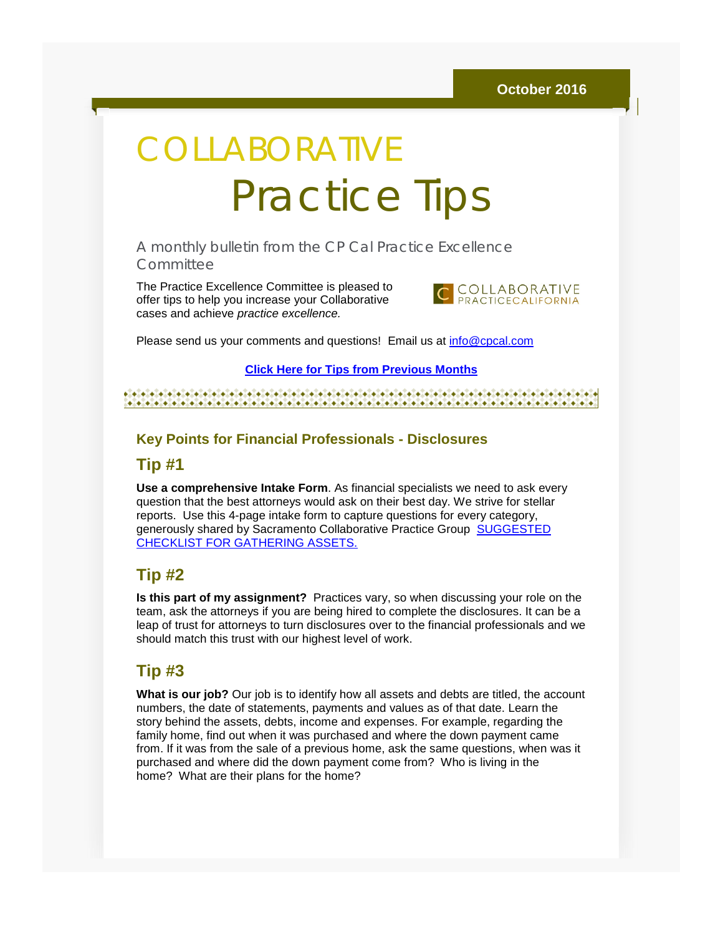# COLLABORATIVE Practice Tips

A monthly bulletin from the CP Cal Practice Excellence Committee

The Practice Excellence Committee is pleased to offer tips to help you increase your Collaborative cases and achieve *practice excellence.*



Please send us your comments and questions! Email us at [info@cpcal.com](mailto:info@cpcal.com)

**[Click Here for Tips from Previous Months](http://r20.rs6.net/tn.jsp?f=001IqaHGu-ejJXVPOcomyPgrcGY2CVdd3S9GqyeJuaBN-15r4qqWCOQdReRHDCIow_XU9vk2T-slLCdyxR7x_nmTMVpscwSYprpQ5UKB-gnhpOFQWIdbG3TnIrX8q8PmN6GphjX5VThSNCeCrX5SxSETM_JyUAnHcgDXikPnd9bE1MtB_0Sl4xD3yF2-w2JX60IORzGuw-MWita502eXpg2bnMKungRjR537wLNEkHD_SiWt_h9pwbazg==&c=zJxZf0eGOFv3iQDBpabhWQUMc99fpb9L-GSDRqdnJ2VDcsqvL6p3tg==&ch=pd5tXJOTDEpBdMNWndpfd19_NP2oYhG23viPx2xVpCyVb7hMk4c8kA==)**

#### 

#### **Key Points for Financial Professionals - Disclosures**

#### **Tip #1**

**Use a comprehensive Intake Form**. As financial specialists we need to ask every question that the best attorneys would ask on their best day. We strive for stellar reports. Use this 4-page intake form to capture questions for every category, generously shared by Sacramento Collaborative Practice Group [SUGGESTED](http://r20.rs6.net/tn.jsp?f=001IqaHGu-ejJXVPOcomyPgrcGY2CVdd3S9GqyeJuaBN-15r4qqWCOQdSW6BNuwuSCT3s-Hhno_Pis3W80FAnXNfn7mHH47HFaETIpXf5zWSiCPC03VLYfVaje-NF_aH4b-vKQzbGxvoLJ56s0T1ZxqdJM99_3-e7L9Mm_OCGAPMbXPuDwP9Fgjj161ZjwA2zp-0WJzGHoch_lCn0dnOOATl5L8JmO2xEWGUfUykpHizGNDcoh1kaE8LkXgEm42kqCJ&c=zJxZf0eGOFv3iQDBpabhWQUMc99fpb9L-GSDRqdnJ2VDcsqvL6p3tg==&ch=pd5tXJOTDEpBdMNWndpfd19_NP2oYhG23viPx2xVpCyVb7hMk4c8kA==)  [CHECKLIST FOR GATHERING ASSETS.](http://r20.rs6.net/tn.jsp?f=001IqaHGu-ejJXVPOcomyPgrcGY2CVdd3S9GqyeJuaBN-15r4qqWCOQdSW6BNuwuSCT3s-Hhno_Pis3W80FAnXNfn7mHH47HFaETIpXf5zWSiCPC03VLYfVaje-NF_aH4b-vKQzbGxvoLJ56s0T1ZxqdJM99_3-e7L9Mm_OCGAPMbXPuDwP9Fgjj161ZjwA2zp-0WJzGHoch_lCn0dnOOATl5L8JmO2xEWGUfUykpHizGNDcoh1kaE8LkXgEm42kqCJ&c=zJxZf0eGOFv3iQDBpabhWQUMc99fpb9L-GSDRqdnJ2VDcsqvL6p3tg==&ch=pd5tXJOTDEpBdMNWndpfd19_NP2oYhG23viPx2xVpCyVb7hMk4c8kA==)

#### **Tip #2**

**Is this part of my assignment?** Practices vary, so when discussing your role on the team, ask the attorneys if you are being hired to complete the disclosures. It can be a leap of trust for attorneys to turn disclosures over to the financial professionals and we should match this trust with our highest level of work.

### **Tip #3**

**What is our job?** Our job is to identify how all assets and debts are titled, the account numbers, the date of statements, payments and values as of that date. Learn the story behind the assets, debts, income and expenses. For example, regarding the family home, find out when it was purchased and where the down payment came from. If it was from the sale of a previous home, ask the same questions, when was it purchased and where did the down payment come from? Who is living in the home? What are their plans for the home?